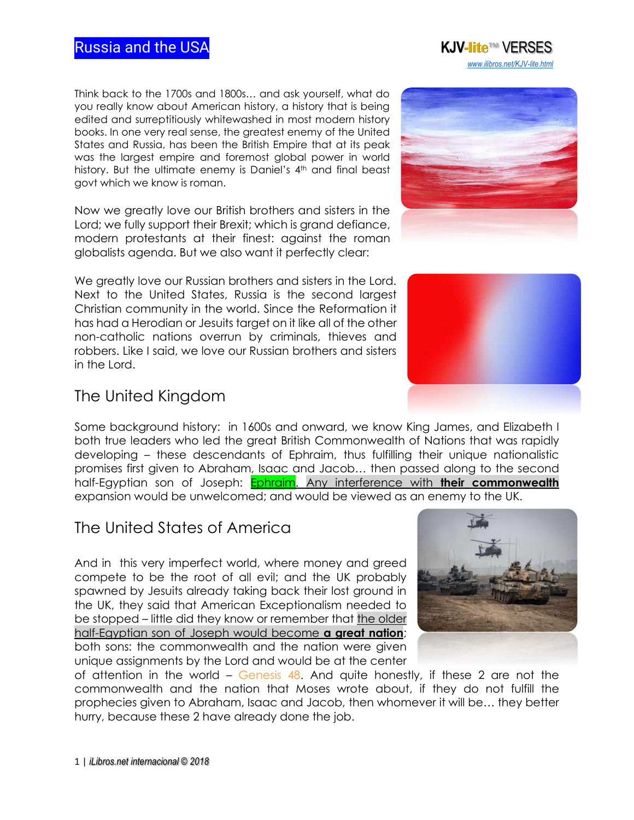### Russia and the USA **KJV-lite**™ VERSES

Think back to the 1700s and 1800s… and ask yourself, what do you really know about American history, a history that is being edited and surreptitiously whitewashed in most modern history books. In one very real sense, the greatest enemy of the United States and Russia, has been the British Empire that at its peak was the largest empire and foremost global power in world history. But the ultimate enemy is Daniel's 4th and final beast govt which we know is roman.

Now we greatly love our British brothers and sisters in the Lord; we fully support their Brexit; which is grand defiance, modern protestants at their finest: against the roman globalists agenda. But we also want it perfectly clear:

We greatly love our Russian brothers and sisters in the Lord. Next to the United States, Russia is the second largest Christian community in the world. Since the Reformation it has had a Herodian or Jesuits target on it like all of the other non-catholic nations overrun by criminals, thieves and robbers. Like I said, we love our Russian brothers and sisters in the Lord.

## The United Kingdom

Some background history: in 1600s and onward, we know King James, and Elizabeth I both true leaders who led the great British Commonwealth of Nations that was rapidly developing – these descendants of Ephraim, thus fulfilling their unique nationalistic promises first given to Abraham, Isaac and Jacob… then passed along to the second half-Egyptian son of Joseph: Ephraim. [Any interference with](http://www.isa-net.org/pdf/GENESIS48vs13.pdf) **their commonwealth** expansion would be unwelcomed; and would be viewed as an enemy to the UK.

# The United States of America

And in this very imperfect world, where money and greed compete to be the root of all evil; and the UK probably spawned by Jesuits already taking back their lost ground in the UK, they said that American Exceptionalism needed to be stopped – little did they know or remember that [the older](http://www.isa-net.org/pdf/ISAIAH18vs1.pdf)  [half-Egyptian son of Joseph would become](http://www.isa-net.org/pdf/ISAIAH18vs1.pdf) **a great nation**; both sons: the commonwealth and the nation were given unique assignments by the Lord and would be at the center

of attention in the world – Genesis  $48$ . And quite honestly, if these 2 are not the commonwealth and the nation that Moses wrote about, if they do not fulfill the prophecies given to Abraham, Isaac and Jacob, then whomever it will be… they better hurry, because these 2 have already done the job.







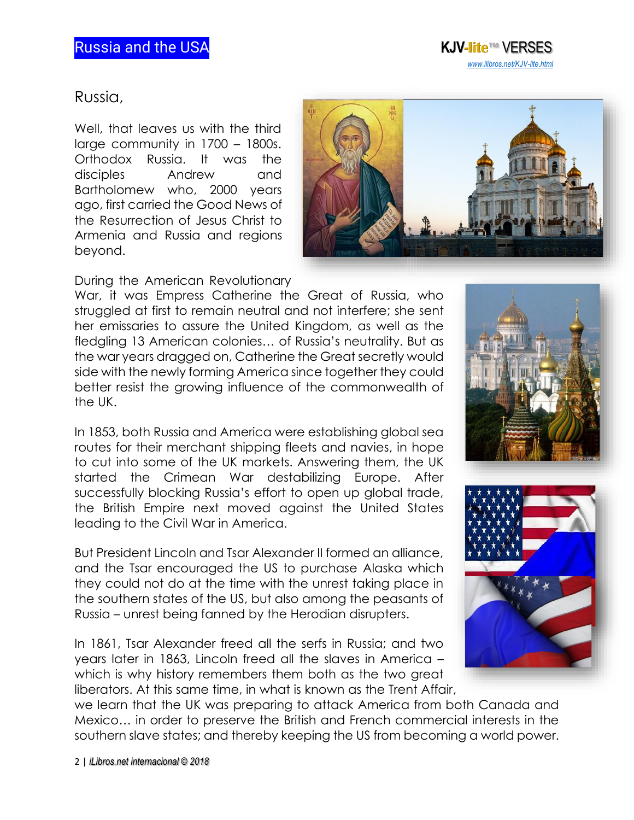

### Russia,

Well, that leaves us with the third large community in 1700 – 1800s. Orthodox Russia. It was the disciples Andrew and Bartholomew who, 2000 years ago, first carried the Good News of the Resurrection of Jesus Christ to Armenia and Russia and regions beyond.



During the American Revolutionary

War, it was Empress Catherine the Great of Russia, who struggled at first to remain neutral and not interfere; she sent her emissaries to assure the United Kingdom, as well as the fledgling 13 American colonies… of Russia's neutrality. But as the war years dragged on, Catherine the Great secretly would side with the newly forming America since together they could better resist the growing influence of the commonwealth of the UK.

In 1853, both Russia and America were establishing global sea routes for their merchant shipping fleets and navies, in hope to cut into some of the UK markets. Answering them, the UK started the Crimean War destabilizing Europe. After successfully blocking Russia's effort to open up global trade, the British Empire next moved against the United States leading to the Civil War in America.

But President Lincoln and Tsar Alexander II formed an alliance, and the Tsar encouraged the US to purchase Alaska which they could not do at the time with the unrest taking place in the southern states of the US, but also among the peasants of Russia – unrest being fanned by the Herodian disrupters.

In 1861, Tsar Alexander freed all the serfs in Russia; and two years later in 1863, Lincoln freed all the slaves in America – which is why history remembers them both as the two great liberators. At this same time, in what is known as the Trent Affair,



we learn that the UK was preparing to attack America from both Canada and Mexico… in order to preserve the British and French commercial interests in the southern slave states; and thereby keeping the US from becoming a world power.

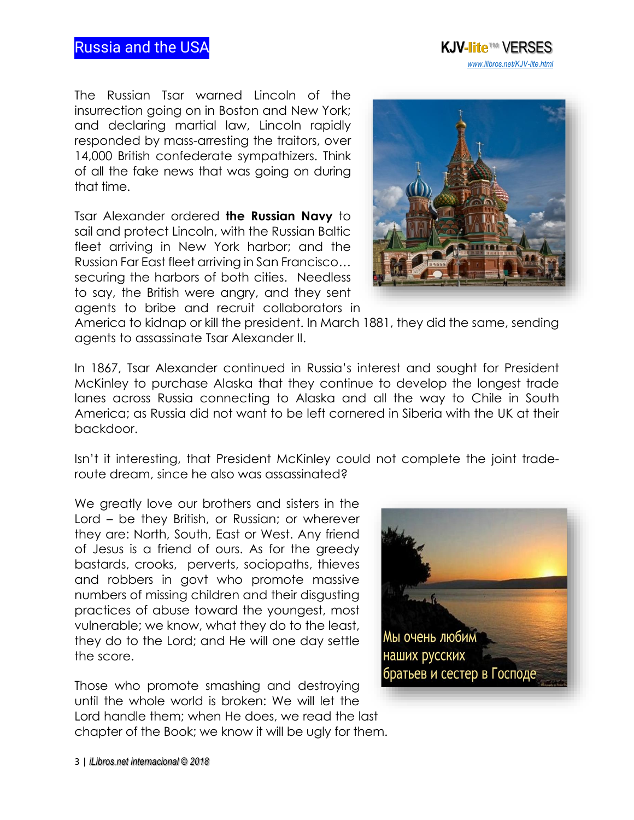### Russia and the USA **KJV-lite**™ VERSES

The Russian Tsar warned Lincoln of the insurrection going on in Boston and New York; and declaring martial law, Lincoln rapidly responded by mass-arresting the traitors, over 14,000 British confederate sympathizers. Think of all the fake news that was going on during that time.

Tsar Alexander ordered **the Russian Navy** to sail and protect Lincoln, with the Russian Baltic fleet arriving in New York harbor; and the Russian Far East fleet arriving in San Francisco… securing the harbors of both cities. Needless to say, the British were angry, and they sent agents to bribe and recruit collaborators in



 *[www.ilibros.net/KJV-lite.html](http://www.ilibros.net/KJV-lite.html)*

America to kidnap or kill the president. In March 1881, they did the same, sending agents to assassinate Tsar Alexander II.

In 1867, Tsar Alexander continued in Russia's interest and sought for President McKinley to purchase Alaska that they continue to develop the longest trade lanes across Russia connecting to Alaska and all the way to Chile in South America; as Russia did not want to be left cornered in Siberia with the UK at their backdoor.

Isn't it interesting, that President McKinley could not complete the joint traderoute dream, since he also was assassinated?

We greatly love our brothers and sisters in the Lord – be they British, or Russian; or wherever they are: North, South, East or West. Any friend of Jesus is a friend of ours. As for the greedy bastards, crooks, perverts, sociopaths, thieves and robbers in govt who promote massive numbers of missing children and their disgusting practices of abuse toward the youngest, most vulnerable; we know, what they do to the least, they do to the Lord; and He will one day settle the score.

Those who promote smashing and destroying until the whole world is broken: We will let the Lord handle them; when He does, we read the last chapter of the Book; we know it will be ugly for them.

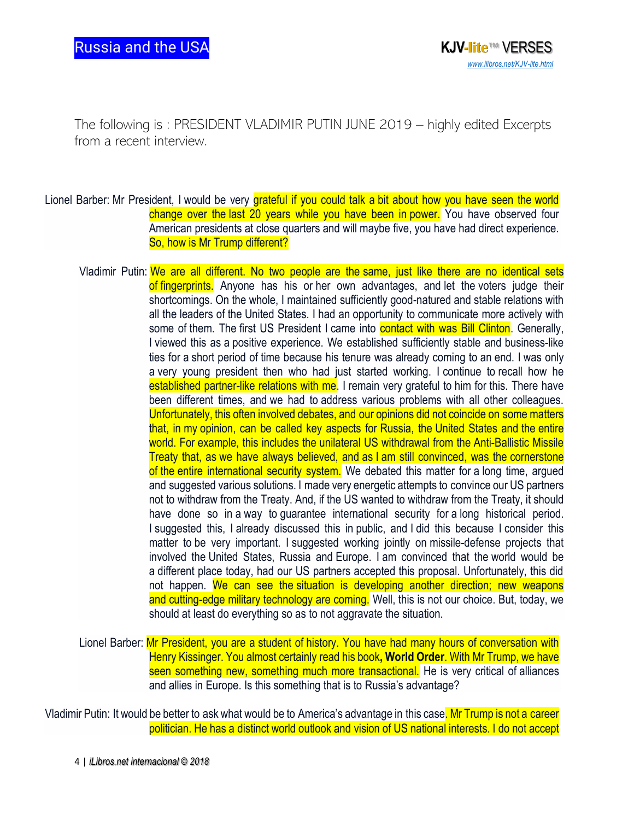The following is : PRESIDENT VLADIMIR PUTIN JUNE 2019 – highly edited Excerpts from a recent interview.

- Lionel Barber: Mr President, I would be very grateful if you could talk a bit about how you have seen the world change over the last 20 years while you have been in power. You have observed four American presidents at close quarters and will maybe five, you have had direct experience. So, how is Mr Trump different?
	- Vladimir Putin: We are all different. No two people are the same, just like there are no identical sets of fingerprints. Anyone has his or her own advantages, and let the voters judge their shortcomings. On the whole, I maintained sufficiently good-natured and stable relations with all the leaders of the United States. I had an opportunity to communicate more actively with some of them. The first US President I came into **contact with was Bill Clinton**. Generally, I viewed this as a positive experience. We established sufficiently stable and business-like ties for a short period of time because his tenure was already coming to an end. I was only a very young president then who had just started working. I continue to recall how he established partner-like relations with me. I remain very grateful to him for this. There have been different times, and we had to address various problems with all other colleagues. Unfortunately, this often involved debates, and our opinions did not coincide on some matters that, in my opinion, can be called key aspects for Russia, the United States and the entire world. For example, this includes the unilateral US withdrawal from the Anti-Ballistic Missile Treaty that, as we have always believed, and as I am still convinced, was the cornerstone of the entire international security system. We debated this matter for a long time, argued and suggested various solutions. I made very energetic attempts to convince our US partners not to withdraw from the Treaty. And, if the US wanted to withdraw from the Treaty, it should have done so in a way to guarantee international security for a long historical period. I suggested this, I already discussed this in public, and I did this because I consider this matter to be very important. I suggested working jointly on missile-defense projects that involved the United States, Russia and Europe. I am convinced that the world would be a different place today, had our US partners accepted this proposal. Unfortunately, this did not happen. We can see the situation is developing another direction; new weapons and cutting-edge military technology are coming. Well, this is not our choice. But, today, we should at least do everything so as to not aggravate the situation.
	- Lionel Barber: Mr President, you are a student of history. You have had many hours of conversation with Henry Kissinger. You almost certainly read his book**, World Order**. With Mr Trump, we have seen something new, something much more transactional. He is very critical of alliances and allies in Europe. Is this something that is to Russia's advantage?

Vladimir Putin: It would be better to ask what would be to America's advantage in this case. Mr Trump is not a career politician. He has a distinct world outlook and vision of US national interests. I do not accept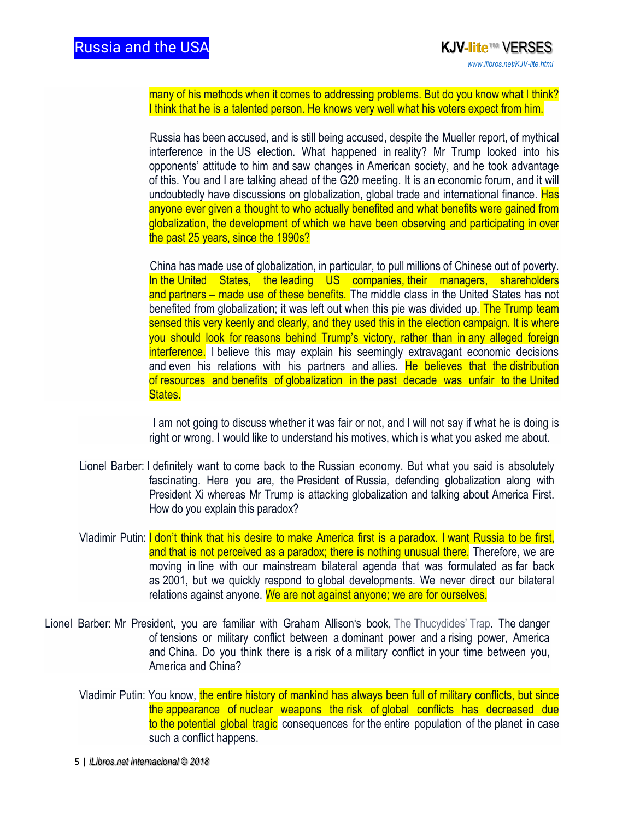many of his methods when it comes to addressing problems. But do you know what I think? I think that he is a talented person. He knows very well what his voters expect from him.

 Russia has been accused, and is still being accused, despite the Mueller report, of mythical interference in the US election. What happened in reality? Mr Trump looked into his opponents' attitude to him and saw changes in American society, and he took advantage of this. You and I are talking ahead of the G20 meeting. It is an economic forum, and it will undoubtedly have discussions on globalization, global trade and international finance. Has anyone ever given a thought to who actually benefited and what benefits were gained from globalization, the development of which we have been observing and participating in over the past 25 years, since the 1990s?

 China has made use of globalization, in particular, to pull millions of Chinese out of poverty. In the United States, the leading US companies, their managers, shareholders and partners – made use of these benefits. The middle class in the United States has not benefited from globalization; it was left out when this pie was divided up. The Trump team sensed this very keenly and clearly, and they used this in the election campaign. It is where you should look for reasons behind Trump's victory, rather than in any alleged foreign interference. I believe this may explain his seemingly extravagant economic decisions and even his relations with his partners and allies. He believes that the distribution of resources and benefits of globalization in the past decade was unfair to the United States.

 I am not going to discuss whether it was fair or not, and I will not say if what he is doing is right or wrong. I would like to understand his motives, which is what you asked me about.

- Lionel Barber: I definitely want to come back to the Russian economy. But what you said is absolutely fascinating. Here you are, the President of Russia, defending globalization along with President Xi whereas Mr Trump is attacking globalization and talking about America First. How do you explain this paradox?
- Vladimir Putin: I don't think that his desire to make America first is a paradox. I want Russia to be first, and that is not perceived as a paradox; there is nothing unusual there. Therefore, we are moving in line with our mainstream bilateral agenda that was formulated as far back as 2001, but we quickly respond to global developments. We never direct our bilateral relations against anyone. We are not against anyone; we are for ourselves.
- Lionel Barber: Mr President, you are familiar with Graham Allison's book, The Thucydides' Trap. The danger of tensions or military conflict between a dominant power and a rising power, America and China. Do you think there is a risk of a military conflict in your time between you, America and China?
	- Vladimir Putin: You know, the entire history of mankind has always been full of military conflicts, but since the appearance of nuclear weapons the risk of global conflicts has decreased due to the potential global tragic consequences for the entire population of the planet in case such a conflict happens.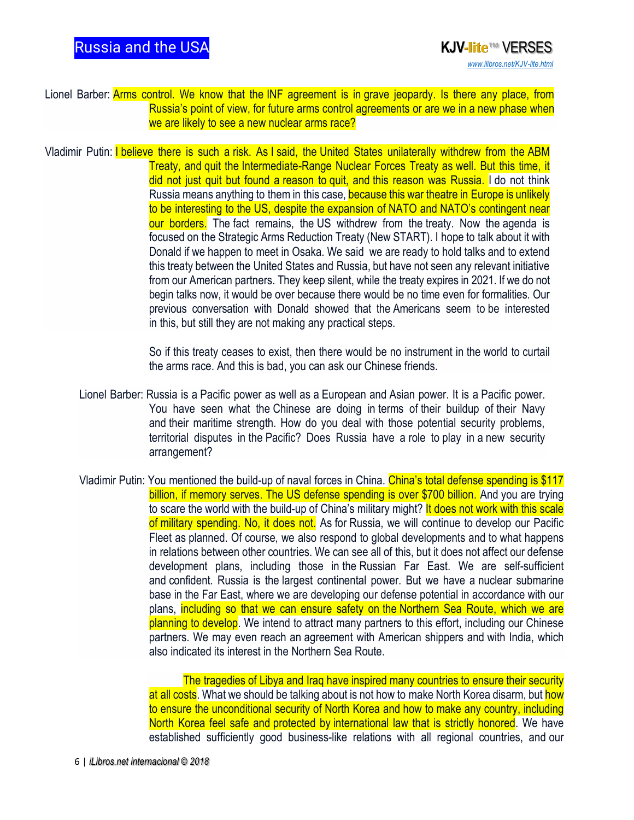- Lionel Barber: Arms control. We know that the INF agreement is in grave jeopardy. Is there any place, from Russia's point of view, for future arms control agreements or are we in a new phase when we are likely to see a new nuclear arms race?
- Vladimir Putin: I believe there is such a risk. As I said, the United States unilaterally withdrew from the ABM Treaty, and quit the Intermediate-Range Nuclear Forces Treaty as well. But this time, it did not just quit but found a reason to quit, and this reason was Russia. I do not think Russia means anything to them in this case, **because this war theatre in Europe is unlikely** to be interesting to the US, despite the expansion of NATO and NATO's contingent near our borders. The fact remains, the US withdrew from the treaty. Now the agenda is focused on the Strategic Arms Reduction Treaty (New START). I hope to talk about it with Donald if we happen to meet in Osaka. We said we are ready to hold talks and to extend this treaty between the United States and Russia, but have not seen any relevant initiative from our American partners. They keep silent, while the treaty expires in 2021. If we do not begin talks now, it would be over because there would be no time even for formalities. Our previous conversation with Donald showed that the Americans seem to be interested in this, but still they are not making any practical steps.

So if this treaty ceases to exist, then there would be no instrument in the world to curtail the arms race. And this is bad, you can ask our Chinese friends.

- Lionel Barber: Russia is a Pacific power as well as a European and Asian power. It is a Pacific power. You have seen what the Chinese are doing in terms of their buildup of their Navy and their maritime strength. How do you deal with those potential security problems, territorial disputes in the Pacific? Does Russia have a role to play in a new security arrangement?
- Vladimir Putin: You mentioned the build-up of naval forces in China. China's total defense spending is \$117 billion, if memory serves. The US defense spending is over \$700 billion. And you are trying to scare the world with the build-up of China's military might? It does not work with this scale of military spending. No, it does not. As for Russia, we will continue to develop our Pacific Fleet as planned. Of course, we also respond to global developments and to what happens in relations between other countries. We can see all of this, but it does not affect our defense development plans, including those in the Russian Far East. We are self-sufficient and confident. Russia is the largest continental power. But we have a nuclear submarine base in the Far East, where we are developing our defense potential in accordance with our plans, including so that we can ensure safety on the Northern Sea Route, which we are planning to develop. We intend to attract many partners to this effort, including our Chinese partners. We may even reach an agreement with American shippers and with India, which also indicated its interest in the Northern Sea Route.

The tragedies of Libya and Iraq have inspired many countries to ensure their security at all costs. What we should be talking about is not how to make North Korea disarm, but how to ensure the unconditional security of North Korea and how to make any country, including North Korea feel safe and protected by international law that is strictly honored. We have established sufficiently good business-like relations with all regional countries, and our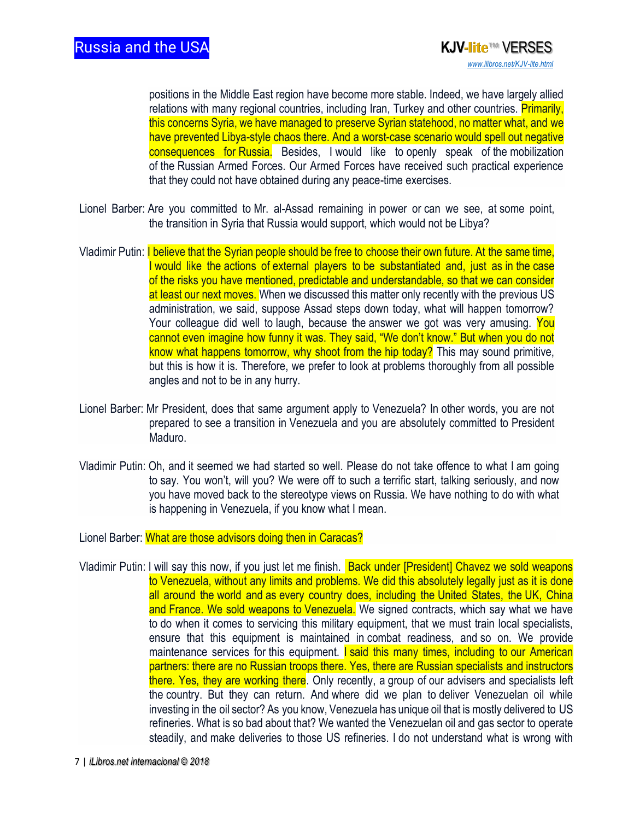positions in the Middle East region have become more stable. Indeed, we have largely allied relations with many regional countries, including Iran, Turkey and other countries. Primarily, this concerns Syria, we have managed to preserve Syrian statehood, no matter what, and we have prevented Libya-style chaos there. And a worst-case scenario would spell out negative consequences for Russia. Besides, I would like to openly speak of the mobilization of the Russian Armed Forces. Our Armed Forces have received such practical experience that they could not have obtained during any peace-time exercises.

- Lionel Barber: Are you committed to Mr. al-Assad remaining in power or can we see, at some point, the transition in Syria that Russia would support, which would not be Libya?
- Vladimir Putin: I believe that the Syrian people should be free to choose their own future. At the same time, I would like the actions of external players to be substantiated and, just as in the case of the risks you have mentioned, predictable and understandable, so that we can consider at least our next moves. When we discussed this matter only recently with the previous US administration, we said, suppose Assad steps down today, what will happen tomorrow? Your colleague did well to laugh, because the answer we got was very amusing. You cannot even imagine how funny it was. They said, "We don't know." But when you do not know what happens tomorrow, why shoot from the hip today? This may sound primitive, but this is how it is. Therefore, we prefer to look at problems thoroughly from all possible angles and not to be in any hurry.
- Lionel Barber: Mr President, does that same argument apply to Venezuela? In other words, you are not prepared to see a transition in Venezuela and you are absolutely committed to President Maduro.
- Vladimir Putin: Oh, and it seemed we had started so well. Please do not take offence to what I am going to say. You won't, will you? We were off to such a terrific start, talking seriously, and now you have moved back to the stereotype views on Russia. We have nothing to do with what is happening in Venezuela, if you know what I mean.

Lionel Barber: What are those advisors doing then in Caracas?

Vladimir Putin: I will say this now, if you just let me finish. Back under [President] Chavez we sold weapons to Venezuela, without any limits and problems. We did this absolutely legally just as it is done all around the world and as every country does, including the United States, the UK, China and France. We sold weapons to Venezuela. We signed contracts, which say what we have to do when it comes to servicing this military equipment, that we must train local specialists, ensure that this equipment is maintained in combat readiness, and so on. We provide maintenance services for this equipment. **I said this many times, including to our American** partners: there are no Russian troops there. Yes, there are Russian specialists and instructors there. Yes, they are working there. Only recently, a group of our advisers and specialists left the country. But they can return. And where did we plan to deliver Venezuelan oil while investing in the oil sector? As you know, Venezuela has unique oil that is mostly delivered to US refineries. What is so bad about that? We wanted the Venezuelan oil and gas sector to operate steadily, and make deliveries to those US refineries. I do not understand what is wrong with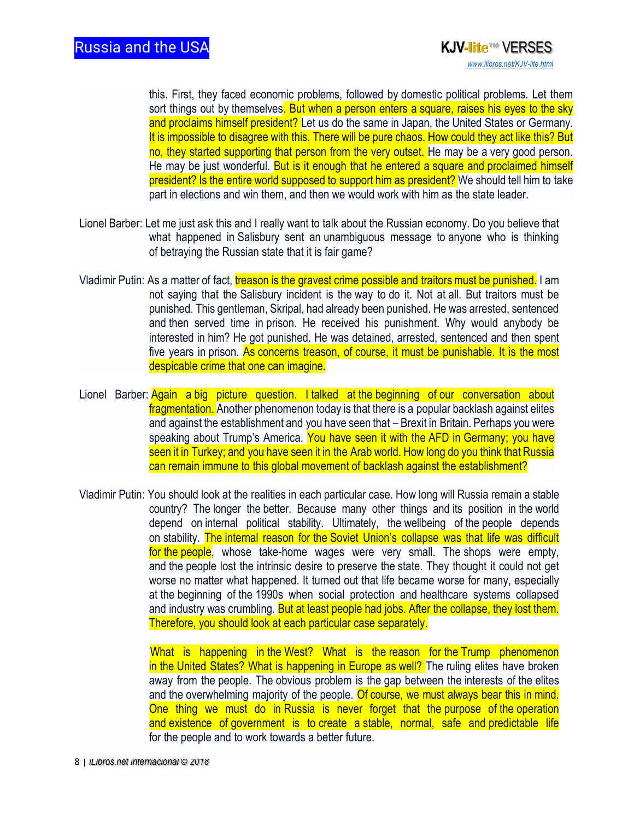this. First, they faced economic problems, followed by domestic political problems. Let them sort things out by themselves. But when a person enters a square, raises his eyes to the sky and proclaims himself president? Let us do the same in Japan, the United States or Germany. It is impossible to disagree with this. There will be pure chaos. How could they act like this? But no, they started supporting that person from the very outset. He may be a very good person. He may be just wonderful. But is it enough that he entered a square and proclaimed himself president? Is the entire world supposed to support him as president? We should tell him to take part in elections and win them, and then we would work with him as the state leader.

- Lionel Barber: Let me just ask this and I really want to talk about the Russian economy. Do you believe that what happened in Salisbury sent an unambiguous message to anyone who is thinking of betraying the Russian state that it is fair game?
- Vladimir Putin: As a matter of fact, treason is the gravest crime possible and traitors must be punished. I am not saying that the Salisbury incident is the way to do it. Not at all. But traitors must be punished. This gentleman, Skripal, had already been punished. He was arrested, sentenced and then served time in prison. He received his punishment. Why would anybody be interested in him? He got punished. He was detained, arrested, sentenced and then spent five years in prison. As concerns treason, of course, it must be punishable. It is the most despicable crime that one can imagine.
- Lionel Barber: Again a big picture question. I talked at the beginning of our conversation about fragmentation. Another phenomenon today is that there is a popular backlash against elites and against the establishment and you have seen that – Brexit in Britain. Perhaps you were speaking about Trump's America. You have seen it with the AFD in Germany; you have seen it in Turkey; and you have seen it in the Arab world. How long do you think that Russia can remain immune to this global movement of backlash against the establishment?
- Vladimir Putin: You should look at the realities in each particular case. How long will Russia remain a stable country? The longer the better. Because many other things and its position in the world depend on internal political stability. Ultimately, the wellbeing of the people depends on stability. The internal reason for the Soviet Union's collapse was that life was difficult for the people, whose take-home wages were very small. The shops were empty, and the people lost the intrinsic desire to preserve the state. They thought it could not get worse no matter what happened. It turned out that life became worse for many, especially at the beginning of the 1990s when social protection and healthcare systems collapsed and industry was crumbling. But at least people had jobs. After the collapse, they lost them. Therefore, you should look at each particular case separately.

What is happening in the West? What is the reason for the Trump phenomenon in the United States? What is happening in Europe as well? The ruling elites have broken away from the people. The obvious problem is the gap between the interests of the elites and the overwhelming majority of the people. Of course, we must always bear this in mind. One thing we must do in Russia is never forget that the purpose of the operation and existence of government is to create a stable, normal, safe and predictable life for the people and to work towards a better future.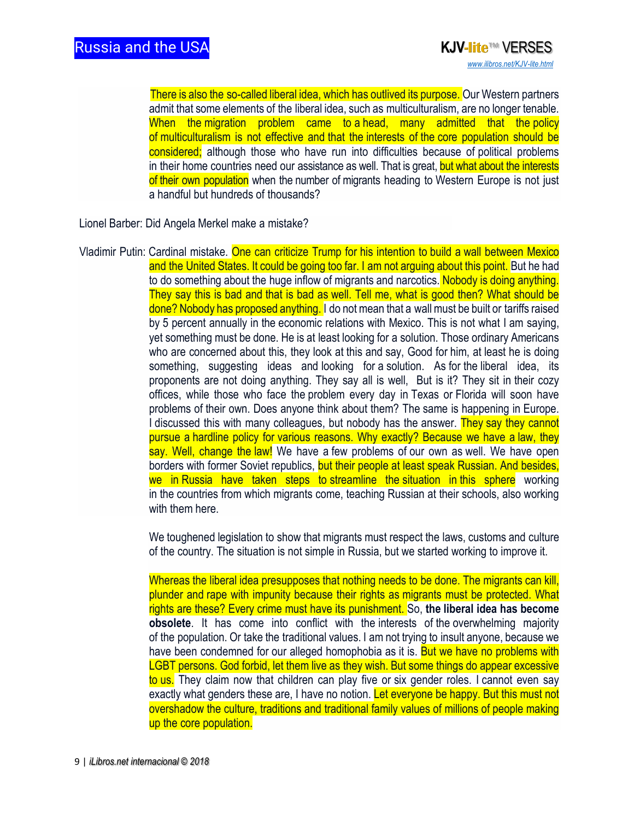There is also the so-called liberal idea, which has outlived its purpose. Our Western partners admit that some elements of the liberal idea, such as multiculturalism, are no longer tenable. When the migration problem came to a head, many admitted that the policy of multiculturalism is not effective and that the interests of the core population should be considered; although those who have run into difficulties because of political problems in their home countries need our assistance as well. That is great, but what about the interests of their own population when the number of migrants heading to Western Europe is not just a handful but hundreds of thousands?

Lionel Barber: Did Angela Merkel make a mistake?

Vladimir Putin: Cardinal mistake. One can criticize Trump for his intention to build a wall between Mexico and the United States. It could be going too far. I am not arguing about this point. But he had to do something about the huge inflow of migrants and narcotics. Nobody is doing anything. They say this is bad and that is bad as well. Tell me, what is good then? What should be done? Nobody has proposed anything. I do not mean that a wall must be built or tariffs raised by 5 percent annually in the economic relations with Mexico. This is not what I am saying, yet something must be done. He is at least looking for a solution. Those ordinary Americans who are concerned about this, they look at this and say, Good for him, at least he is doing something, suggesting ideas and looking for a solution. As for the liberal idea, its proponents are not doing anything. They say all is well, But is it? They sit in their cozy offices, while those who face the problem every day in Texas or Florida will soon have problems of their own. Does anyone think about them? The same is happening in Europe. I discussed this with many colleagues, but nobody has the answer. They say they cannot pursue a hardline policy for various reasons. Why exactly? Because we have a law, they say. Well, change the law! We have a few problems of our own as well. We have open borders with former Soviet republics, but their people at least speak Russian. And besides, we in Russia have taken steps to streamline the situation in this sphere working in the countries from which migrants come, teaching Russian at their schools, also working with them here.

> We toughened legislation to show that migrants must respect the laws, customs and culture of the country. The situation is not simple in Russia, but we started working to improve it.

> Whereas the liberal idea presupposes that nothing needs to be done. The migrants can kill, plunder and rape with impunity because their rights as migrants must be protected. What rights are these? Every crime must have its punishment. So, **the liberal idea has become obsolete**. It has come into conflict with the interests of the overwhelming majority of the population. Or take the traditional values. I am not trying to insult anyone, because we have been condemned for our alleged homophobia as it is. But we have no problems with LGBT persons. God forbid, let them live as they wish. But some things do appear excessive to us. They claim now that children can play five or six gender roles. I cannot even say exactly what genders these are, I have no notion. Let everyone be happy. But this must not overshadow the culture, traditions and traditional family values of millions of people making up the core population.